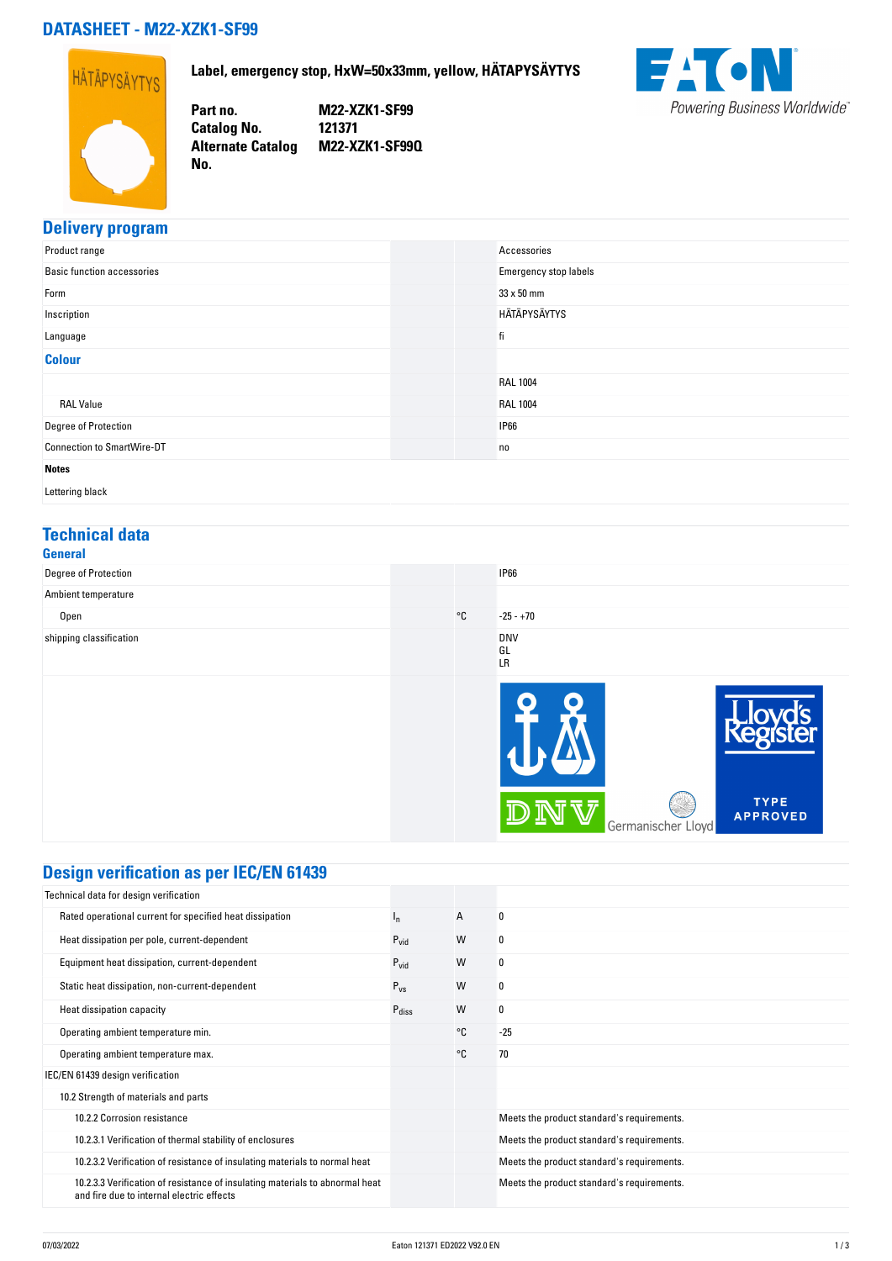## **DATASHEET - M22-XZK1-SF99**

**No.** 



**Label, emergency stop, HxW=50x33mm, yellow, HÄTAPYSÄYTYS**

**Part no. M22-XZK1-SF99 Catalog No. 121371 Alternate Catalog M22-XZK1-SF99Q**



## **Delivery program**

| Product range                     | Accessories           |
|-----------------------------------|-----------------------|
| <b>Basic function accessories</b> | Emergency stop labels |
| Form                              | $33 \times 50$ mm     |
| Inscription                       | HÄTÄPYSÄYTYS          |
| Language                          | fi                    |
| <b>Colour</b>                     |                       |
|                                   | <b>RAL 1004</b>       |
| <b>RAL Value</b>                  | <b>RAL 1004</b>       |
| Degree of Protection              | <b>IP66</b>           |
| <b>Connection to SmartWire-DT</b> | no                    |
| <b>Notes</b>                      |                       |

Lettering black

#### **Technical data General**

| uclicial                |              |                         |                                |
|-------------------------|--------------|-------------------------|--------------------------------|
| Degree of Protection    |              | <b>IP66</b>             |                                |
| Ambient temperature     |              |                         |                                |
| Open                    | $^{\circ}$ C | $-25 - +70$             |                                |
| shipping classification |              | <b>DNV</b><br>GL<br>LR  |                                |
|                         |              | ש<br>Germanischer Lloyd | <b>TYPE</b><br><b>APPROVED</b> |

# **Design verification as per IEC/EN 61439**

| Technical data for design verification                                                                                    |                   |    |                                            |
|---------------------------------------------------------------------------------------------------------------------------|-------------------|----|--------------------------------------------|
| Rated operational current for specified heat dissipation                                                                  | $n_{\rm n}$       | A  | 0                                          |
| Heat dissipation per pole, current-dependent                                                                              | $P_{vid}$         | W  | 0                                          |
| Equipment heat dissipation, current-dependent                                                                             | $P_{\text{vid}}$  | W  | 0                                          |
| Static heat dissipation, non-current-dependent                                                                            | $P_{VS}$          | W  | 0                                          |
| Heat dissipation capacity                                                                                                 | $P_{\text{diss}}$ | W  | 0                                          |
| Operating ambient temperature min.                                                                                        |                   | °C | $-25$                                      |
| Operating ambient temperature max.                                                                                        |                   | °C | 70                                         |
| IEC/EN 61439 design verification                                                                                          |                   |    |                                            |
| 10.2 Strength of materials and parts                                                                                      |                   |    |                                            |
| 10.2.2 Corrosion resistance                                                                                               |                   |    | Meets the product standard's requirements. |
| 10.2.3.1 Verification of thermal stability of enclosures                                                                  |                   |    | Meets the product standard's requirements. |
| 10.2.3.2 Verification of resistance of insulating materials to normal heat                                                |                   |    | Meets the product standard's requirements. |
| 10.2.3.3 Verification of resistance of insulating materials to abnormal heat<br>and fire due to internal electric effects |                   |    | Meets the product standard's requirements. |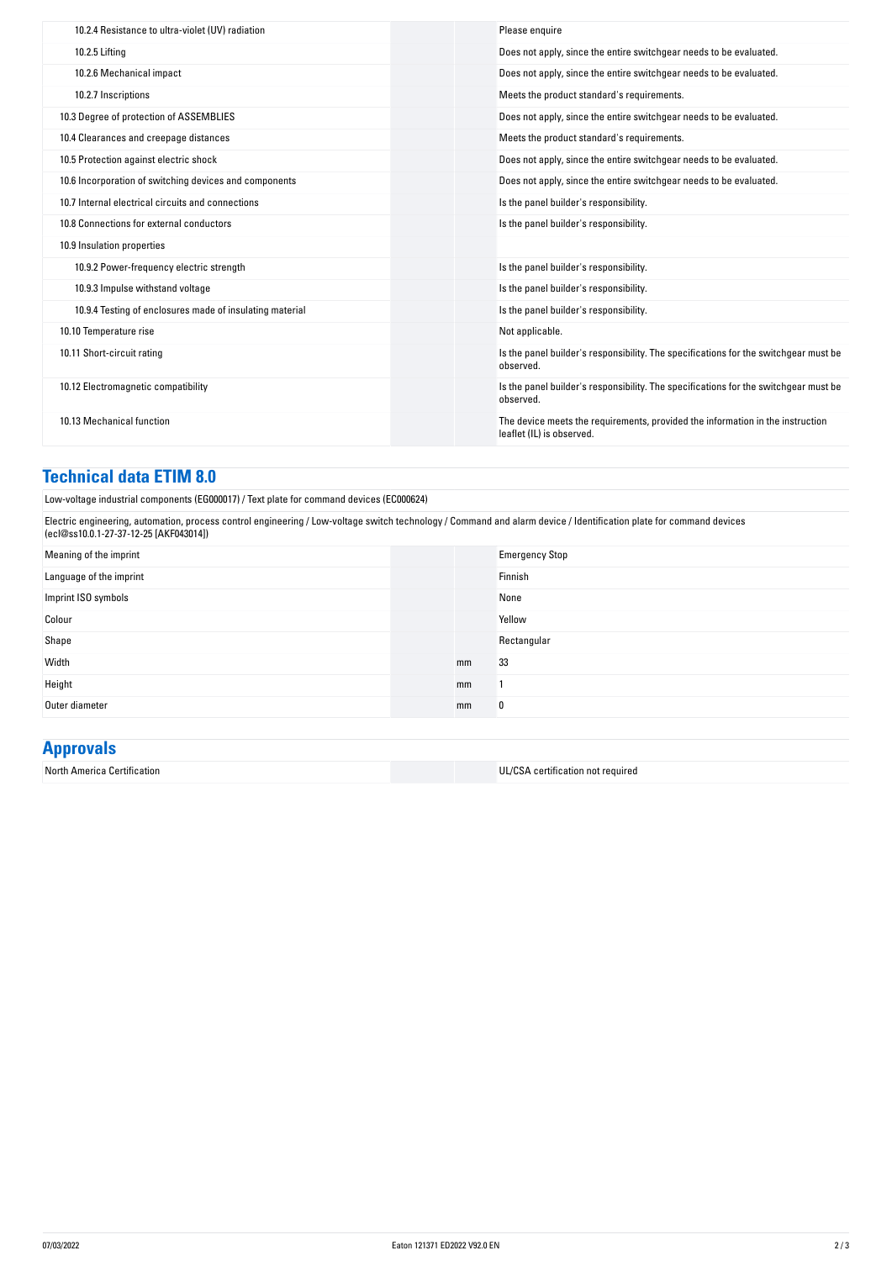| 10.2.4 Resistance to ultra-violet (UV) radiation         | Please enquire                                                                                              |
|----------------------------------------------------------|-------------------------------------------------------------------------------------------------------------|
| 10.2.5 Lifting                                           | Does not apply, since the entire switchgear needs to be evaluated.                                          |
| 10.2.6 Mechanical impact                                 | Does not apply, since the entire switchgear needs to be evaluated.                                          |
| 10.2.7 Inscriptions                                      | Meets the product standard's requirements.                                                                  |
| 10.3 Degree of protection of ASSEMBLIES                  | Does not apply, since the entire switchgear needs to be evaluated.                                          |
| 10.4 Clearances and creepage distances                   | Meets the product standard's requirements.                                                                  |
| 10.5 Protection against electric shock                   | Does not apply, since the entire switchgear needs to be evaluated.                                          |
| 10.6 Incorporation of switching devices and components   | Does not apply, since the entire switchgear needs to be evaluated.                                          |
| 10.7 Internal electrical circuits and connections        | Is the panel builder's responsibility.                                                                      |
| 10.8 Connections for external conductors                 | Is the panel builder's responsibility.                                                                      |
| 10.9 Insulation properties                               |                                                                                                             |
| 10.9.2 Power-frequency electric strength                 | Is the panel builder's responsibility.                                                                      |
| 10.9.3 Impulse withstand voltage                         | Is the panel builder's responsibility.                                                                      |
| 10.9.4 Testing of enclosures made of insulating material | Is the panel builder's responsibility.                                                                      |
| 10.10 Temperature rise                                   | Not applicable.                                                                                             |
| 10.11 Short-circuit rating                               | Is the panel builder's responsibility. The specifications for the switchgear must be<br>observed.           |
| 10.12 Electromagnetic compatibility                      | Is the panel builder's responsibility. The specifications for the switchgear must be<br>observed.           |
| 10.13 Mechanical function                                | The device meets the requirements, provided the information in the instruction<br>leaflet (IL) is observed. |

#### **Technical data ETIM 8.0**

Low-voltage industrial components (EG000017) / Text plate for command devices (EC000624)

Electric engineering, automation, process control engineering / Low-voltage switch technology / Command and alarm device / Identification plate for command devices (ecl@ss10.0.1-27-37-12-25 [AKF043014])

| Meaning of the imprint  |    | <b>Emergency Stop</b> |
|-------------------------|----|-----------------------|
| Language of the imprint |    | Finnish               |
| Imprint ISO symbols     |    | None                  |
| Colour                  |    | Yellow                |
| Shape                   |    | Rectangular           |
| Width                   | mm | 33                    |
| Height                  | mm |                       |
| Outer diameter          | mm | 0                     |

# **Approvals**

| North America Certification |  | $\sim$<br>U1/CS<br>certification not required ،<br>and the contract of the contract of the contract of the contract of the contract of the contract of the contract of |
|-----------------------------|--|------------------------------------------------------------------------------------------------------------------------------------------------------------------------|
|-----------------------------|--|------------------------------------------------------------------------------------------------------------------------------------------------------------------------|